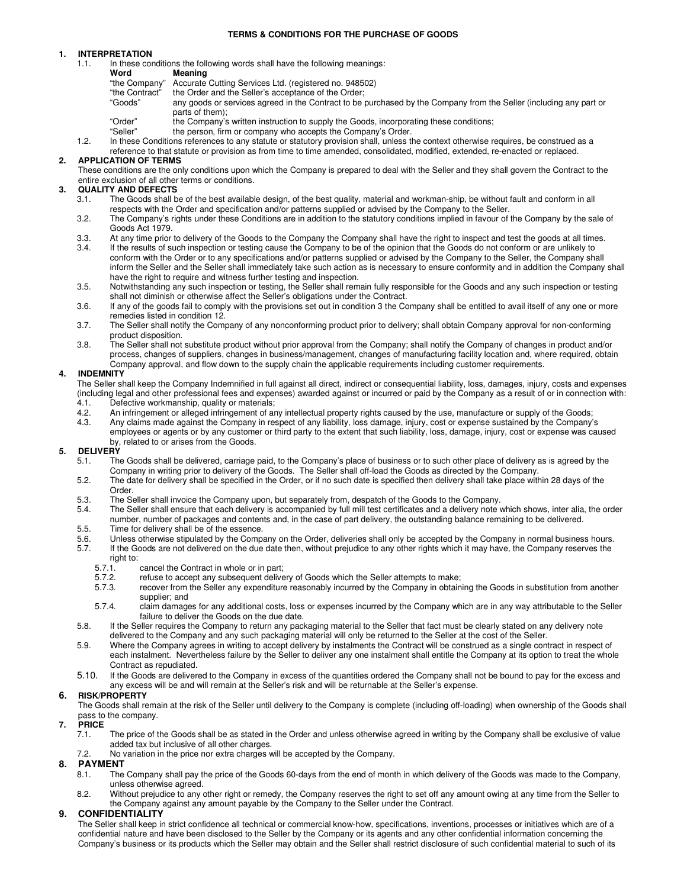### **TERMS & CONDITIONS FOR THE PURCHASE OF GOODS**

## **1. INTERPRETATION**

1.1. In these conditions the following words shall have the following meanings:

# **Word Meaning**<br>"the Company" Accurate

- "the Company" Accurate Cutting Services Ltd. (registered no. 948502)
- "the Contract" the Order and the Seller's acceptance of the Order;
- any goods or services agreed in the Contract to be purchased by the Company from the Seller (including any part or parts of them);
- "Order" the Company's written instruction to supply the Goods, incorporating these conditions;
- "Seller" the person, firm or company who accepts the Company's Order.
- 1.2. In these Conditions references to any statute or statutory provision shall, unless the context otherwise requires, be construed as a reference to that statute or provision as from time to time amended, consolidated, modified, extended, re-enacted or replaced.

## **2. APPLICATION OF TERMS**

These conditions are the only conditions upon which the Company is prepared to deal with the Seller and they shall govern the Contract to the entire exclusion of all other terms or conditions.

## **3. QUALITY AND DEFECTS**

- 3.1. The Goods shall be of the best available design, of the best quality, material and workman-ship, be without fault and conform in all respects with the Order and specification and/or patterns supplied or advised by the Company to the Seller.
- 3.2. The Company's rights under these Conditions are in addition to the statutory conditions implied in favour of the Company by the sale of Goods Act 1979.
- 3.3. At any time prior to delivery of the Goods to the Company the Company shall have the right to inspect and test the goods at all times.<br>3.4. If the results of such inspection or testing cause the Company to be of the o
- If the results of such inspection or testing cause the Company to be of the opinion that the Goods do not conform or are unlikely to conform with the Order or to any specifications and/or patterns supplied or advised by the Company to the Seller, the Company shall inform the Seller and the Seller shall immediately take such action as is necessary to ensure conformity and in addition the Company shall have the right to require and witness further testing and inspection.
- 3.5. Notwithstanding any such inspection or testing, the Seller shall remain fully responsible for the Goods and any such inspection or testing shall not diminish or otherwise affect the Seller's obligations under the Contract.
- 3.6. If any of the goods fail to comply with the provisions set out in condition 3 the Company shall be entitled to avail itself of any one or more remedies listed in condition 12.
- 3.7. The Seller shall notify the Company of any nonconforming product prior to delivery; shall obtain Company approval for non-conforming product disposition.
- 3.8. The Seller shall not substitute product without prior approval from the Company; shall notify the Company of changes in product and/or process, changes of suppliers, changes in business/management, changes of manufacturing facility location and, where required, obtain Company approval, and flow down to the supply chain the applicable requirements including customer requirements.

## **4. INDEMNITY**

The Seller shall keep the Company Indemnified in full against all direct, indirect or consequential liability, loss, damages, injury, costs and expenses (including legal and other professional fees and expenses) awarded against or incurred or paid by the Company as a result of or in connection with: 4.1. Defective workmanship, quality or materials;<br>4.2. An infringement or alleged infringement of an

- An infringement or alleged infringement of any intellectual property rights caused by the use, manufacture or supply of the Goods;
- 4.3. Any claims made against the Company in respect of any liability, loss damage, injury, cost or expense sustained by the Company's employees or agents or by any customer or third party to the extent that such liability, loss, damage, injury, cost or expense was caused by, related to or arises from the Goods.

## **5. DELIVERY**

- 5.1. The Goods shall be delivered, carriage paid, to the Company's place of business or to such other place of delivery as is agreed by the Company in writing prior to delivery of the Goods. The Seller shall off-load the Goods as directed by the Company.
- 5.2. The date for delivery shall be specified in the Order, or if no such date is specified then delivery shall take place within 28 days of the Order.
- 5.3. The Seller shall invoice the Company upon, but separately from, despatch of the Goods to the Company.<br>5.4. The Seller shall ensure that each delivery is accompanied by full mill test certificates and a delivery note y
- The Seller shall ensure that each delivery is accompanied by full mill test certificates and a delivery note which shows, inter alia, the order number, number of packages and contents and, in the case of part delivery, the outstanding balance remaining to be delivered.
- 5.5. Time for delivery shall be of the essence.<br>5.6. Unless otherwise stipulated by the Company
- Unless otherwise stipulated by the Company on the Order, deliveries shall only be accepted by the Company in normal business hours.
- 5.7. If the Goods are not delivered on the due date then, without prejudice to any other rights which it may have, the Company reserves the
	- right to:<br>5.7.1.
	- 5.7.1. cancel the Contract in whole or in part;<br>5.7.2. refuse to accept any subsequent delive 5.7.2. refuse to accept any subsequent delivery of Goods which the Seller attempts to make;
	- 5.7.3. recover from the Seller any expenditure reasonably incurred by the Company in obtaining the Goods in substitution from another supplier; and
	- 5.7.4. claim damages for any additional costs, loss or expenses incurred by the Company which are in any way attributable to the Seller failure to deliver the Goods on the due date.
- 5.8. If the Seller requires the Company to return any packaging material to the Seller that fact must be clearly stated on any delivery note delivered to the Company and any such packaging material will only be returned to the Seller at the cost of the Seller.
- 5.9. Where the Company agrees in writing to accept delivery by instalments the Contract will be construed as a single contract in respect of each instalment. Nevertheless failure by the Seller to deliver any one instalment shall entitle the Company at its option to treat the whole Contract as repudiated.
- 5.10. If the Goods are delivered to the Company in excess of the quantities ordered the Company shall not be bound to pay for the excess and any excess will be and will remain at the Seller's risk and will be returnable at the Seller's expense.

## **6. RISK/PROPERTY**

The Goods shall remain at the risk of the Seller until delivery to the Company is complete (including off-loading) when ownership of the Goods shall pass to the company.

- **7. PRICE**
	- 7.1. The price of the Goods shall be as stated in the Order and unless otherwise agreed in writing by the Company shall be exclusive of value added tax but inclusive of all other charges.
	- 7.2. No variation in the price nor extra charges will be accepted by the Company.

## **8. PAYMENT**

- 8.1. The Company shall pay the price of the Goods 60-days from the end of month in which delivery of the Goods was made to the Company, unless otherwise agreed.
- 8.2. Without prejudice to any other right or remedy, the Company reserves the right to set off any amount owing at any time from the Seller to the Company against any amount payable by the Company to the Seller under the Contract.

## **9. CONFIDENTIALITY**

The Seller shall keep in strict confidence all technical or commercial know-how, specifications, inventions, processes or initiatives which are of a confidential nature and have been disclosed to the Seller by the Company or its agents and any other confidential information concerning the Company's business or its products which the Seller may obtain and the Seller shall restrict disclosure of such confidential material to such of its